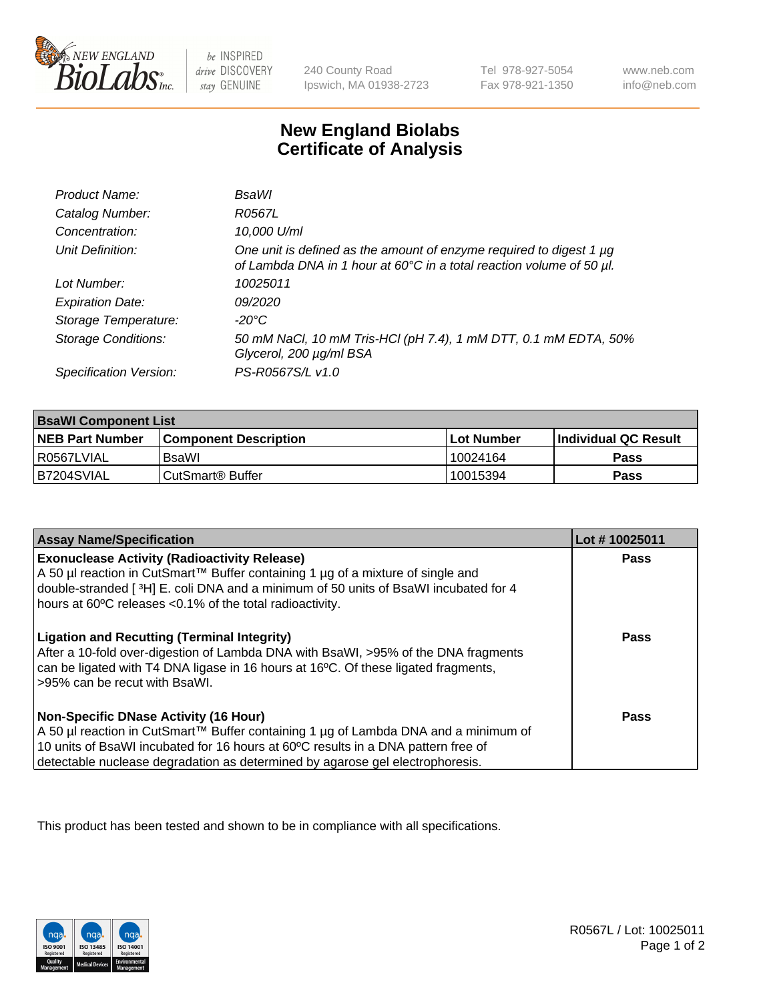

 $be$  INSPIRED drive DISCOVERY stay GENUINE

240 County Road Ipswich, MA 01938-2723 Tel 978-927-5054 Fax 978-921-1350 www.neb.com info@neb.com

## **New England Biolabs Certificate of Analysis**

| Product Name:              | BsaWl                                                                                                                                       |
|----------------------------|---------------------------------------------------------------------------------------------------------------------------------------------|
| Catalog Number:            | R0567L                                                                                                                                      |
| Concentration:             | 10,000 U/ml                                                                                                                                 |
| Unit Definition:           | One unit is defined as the amount of enzyme required to digest 1 µg<br>of Lambda DNA in 1 hour at 60°C in a total reaction volume of 50 µl. |
| Lot Number:                | 10025011                                                                                                                                    |
| <b>Expiration Date:</b>    | 09/2020                                                                                                                                     |
| Storage Temperature:       | $-20^{\circ}$ C                                                                                                                             |
| <b>Storage Conditions:</b> | 50 mM NaCl, 10 mM Tris-HCl (pH 7.4), 1 mM DTT, 0.1 mM EDTA, 50%<br>Glycerol, 200 µg/ml BSA                                                  |
| Specification Version:     | PS-R0567S/L v1.0                                                                                                                            |

| <b>BsaWI Component List</b> |                         |              |                             |  |
|-----------------------------|-------------------------|--------------|-----------------------------|--|
| <b>NEB Part Number</b>      | l Component Description | l Lot Number | <b>Individual QC Result</b> |  |
| l R0567LVIAL                | BsaWl                   | 10024164     | Pass                        |  |
| IB7204SVIAL                 | l CutSmart® Buffer      | 10015394     | Pass                        |  |

| <b>Assay Name/Specification</b>                                                                                                                                                                                                                                                                           | Lot #10025011 |
|-----------------------------------------------------------------------------------------------------------------------------------------------------------------------------------------------------------------------------------------------------------------------------------------------------------|---------------|
| <b>Exonuclease Activity (Radioactivity Release)</b><br>A 50 µl reaction in CutSmart™ Buffer containing 1 µg of a mixture of single and<br>double-stranded [3H] E. coli DNA and a minimum of 50 units of BsaWI incubated for 4<br>hours at 60°C releases <0.1% of the total radioactivity.                 | Pass          |
| <b>Ligation and Recutting (Terminal Integrity)</b><br>After a 10-fold over-digestion of Lambda DNA with BsaWI, >95% of the DNA fragments<br>can be ligated with T4 DNA ligase in 16 hours at 16°C. Of these ligated fragments,<br>>95% can be recut with BsaWI.                                           | <b>Pass</b>   |
| <b>Non-Specific DNase Activity (16 Hour)</b><br>A 50 µl reaction in CutSmart™ Buffer containing 1 µg of Lambda DNA and a minimum of<br>10 units of BsaWI incubated for 16 hours at 60°C results in a DNA pattern free of<br>detectable nuclease degradation as determined by agarose gel electrophoresis. | Pass          |

This product has been tested and shown to be in compliance with all specifications.